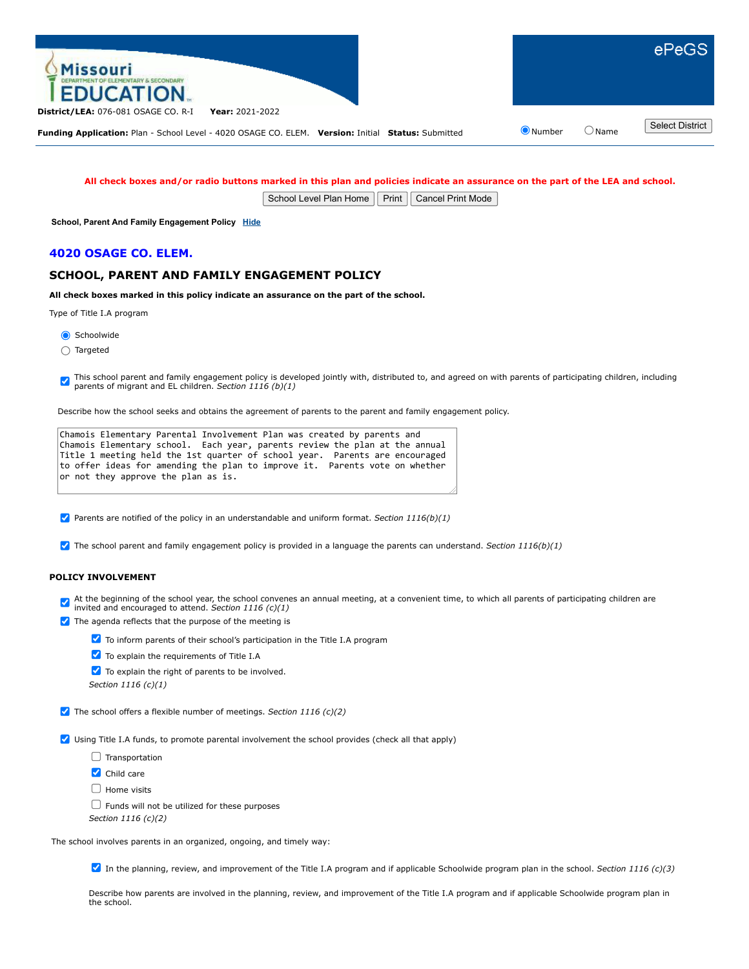

## **All check boxes and/or radio buttons marked in this plan and policies indicate an assurance on the part of the LEA and school.**

School Level Plan Home | Print | Cancel Print Mode

**School, Parent And Family Engagement Policy [Hide](javascript:__doPostBack()**

### **4020 OSAGE CO. ELEM.**

# **SCHOOL, PARENT AND FAMILY ENGAGEMENT POLICY**

**All check boxes marked in this policy indicate an assurance on the part of the school.**

Type of Title I.A program

Schoolwide

Targeted

This school parent and family engagement policy is developed jointly with, distributed to, and agreed on with parents of participating children, including parents of migrant and EL children. *Section 1116 (b)(1)*

Describe how the school seeks and obtains the agreement of parents to the parent and family engagement policy.

|                                     | Chamois Elementary Parental Involvement Plan was created by parents and     |
|-------------------------------------|-----------------------------------------------------------------------------|
|                                     | Chamois Elementary school. Each year, parents review the plan at the annual |
|                                     | Title 1 meeting held the 1st quarter of school year. Parents are encouraged |
|                                     | to offer ideas for amending the plan to improve it. Parents vote on whether |
| or not they approve the plan as is. |                                                                             |

Parents are notified of the policy in an understandable and uniform format. *Section 1116(b)(1)*

The school parent and family engagement policy is provided in a language the parents can understand. *Section 1116(b)(1)*

## **POLICY INVOLVEMENT**

At the beginning of the school year, the school convenes an annual meeting, at a convenient time, to which all parents of participating children are invited and encouraged to attend. *Section 1116 (c)(1)*

- $\blacktriangleright$  The agenda reflects that the purpose of the meeting is
	- **V** To inform parents of their school's participation in the Title I.A program
	- $\blacktriangleright$  To explain the requirements of Title I.A
	- $\blacktriangleright$  To explain the right of parents to be involved.
	- *Section 1116 (c)(1)*
- The school offers a flexible number of meetings. *Section 1116 (c)(2)*

Using Title I.A funds, to promote parental involvement the school provides (check all that apply)

- $\Box$  Transportation
- Child care

 $\Box$  Home visits

 $\Box$  Funds will not be utilized for these purposes

*Section 1116 (c)(2)*

The school involves parents in an organized, ongoing, and timely way:

In the planning, review, and improvement of the Title I.A program and if applicable Schoolwide program plan in the school. *Section 1116 (c)(3)*

Describe how parents are involved in the planning, review, and improvement of the Title I.A program and if applicable Schoolwide program plan in the school.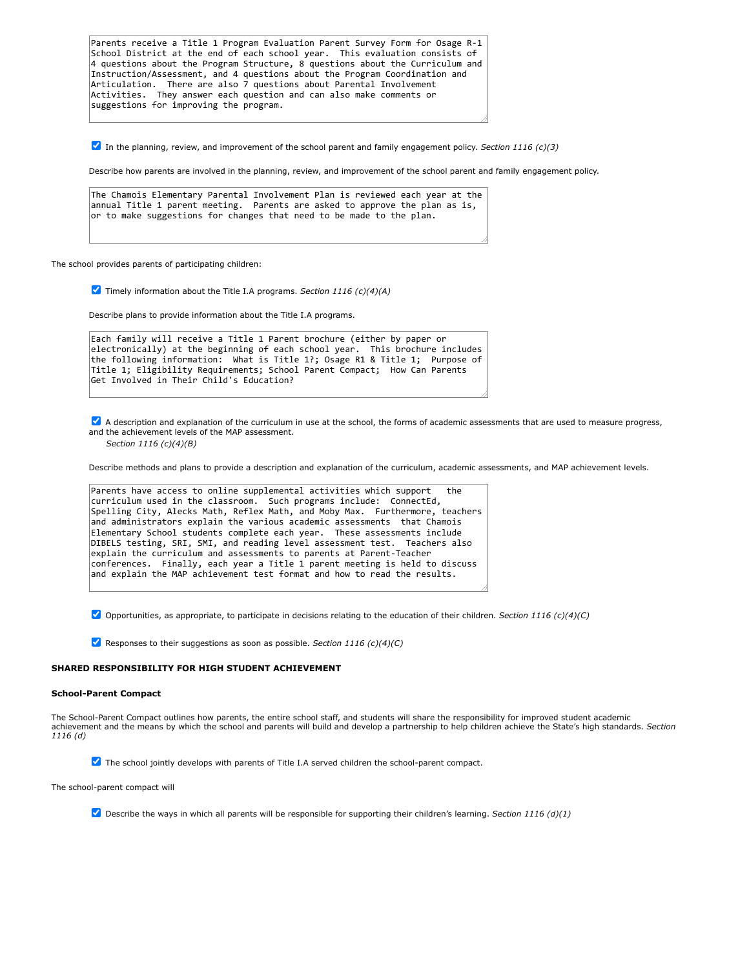Parents receive a Title 1 Program Evaluation Parent Survey Form for Osage R-1 School District at the end of each school year. This evaluation consists of 4 questions about the Program Structure, 8 questions about the Curriculum and Instruction/Assessment, and 4 questions about the Program Coordination and Articulation. There are also 7 questions about Parental Involvement Activities. They answer each question and can also make comments or suggestions for improving the program.

In the planning, review, and improvement of the school parent and family engagement policy. *Section 1116 (c)(3)*

Describe how parents are involved in the planning, review, and improvement of the school parent and family engagement policy.

The Chamois Elementary Parental Involvement Plan is reviewed each year at the annual Title 1 parent meeting. Parents are asked to approve the plan as is, or to make suggestions for changes that need to be made to the plan.

The school provides parents of participating children:

Timely information about the Title I.A programs. *Section 1116 (c)(4)(A)*

Describe plans to provide information about the Title I.A programs.

Each family will receive a Title 1 Parent brochure (either by paper or electronically) at the beginning of each school year. This brochure includes the following information: What is Title 1?; Osage R1 & Title 1; Purpose of Title 1; Eligibility Requirements; School Parent Compact; How Can Parents Get Involved in Their Child's Education?

A description and explanation of the curriculum in use at the school, the forms of academic assessments that are used to measure progress, and the achievement levels of the MAP assessment.

*Section 1116 (c)(4)(B)*

Describe methods and plans to provide a description and explanation of the curriculum, academic assessments, and MAP achievement levels.

```
Parents have access to online supplemental activities which support
curriculum used in the classroom. Such programs include: ConnectEd,
Spelling City, Alecks Math, Reflex Math, and Moby Max. Furthermore, teachers
and administrators explain the various academic assessments that Chamois
Elementary School students complete each year. These assessments include
DIBELS testing, SRI, SMI, and reading level assessment test. Teachers also
explain the curriculum and assessments to parents at Parent-Teacher
conferences. Finally, each year a Title 1 parent meeting is held to discuss
and explain the MAP achievement test format and how to read the results.
```
Opportunities, as appropriate, to participate in decisions relating to the education of their children. *Section 1116 (c)(4)(C)*

Responses to their suggestions as soon as possible. *Section 1116 (c)(4)(C)*

#### **SHARED RESPONSIBILITY FOR HIGH STUDENT ACHIEVEMENT**

#### **School-Parent Compact**

The School-Parent Compact outlines how parents, the entire school staff, and students will share the responsibility for improved student academic achievement and the means by which the school and parents will build and develop a partnership to help children achieve the State's high standards. *Section 1116 (d)*

 $\blacktriangledown$  The school jointly develops with parents of Title I.A served children the school-parent compact.

The school-parent compact will

Describe the ways in which all parents will be responsible for supporting their children's learning. *Section 1116 (d)(1)*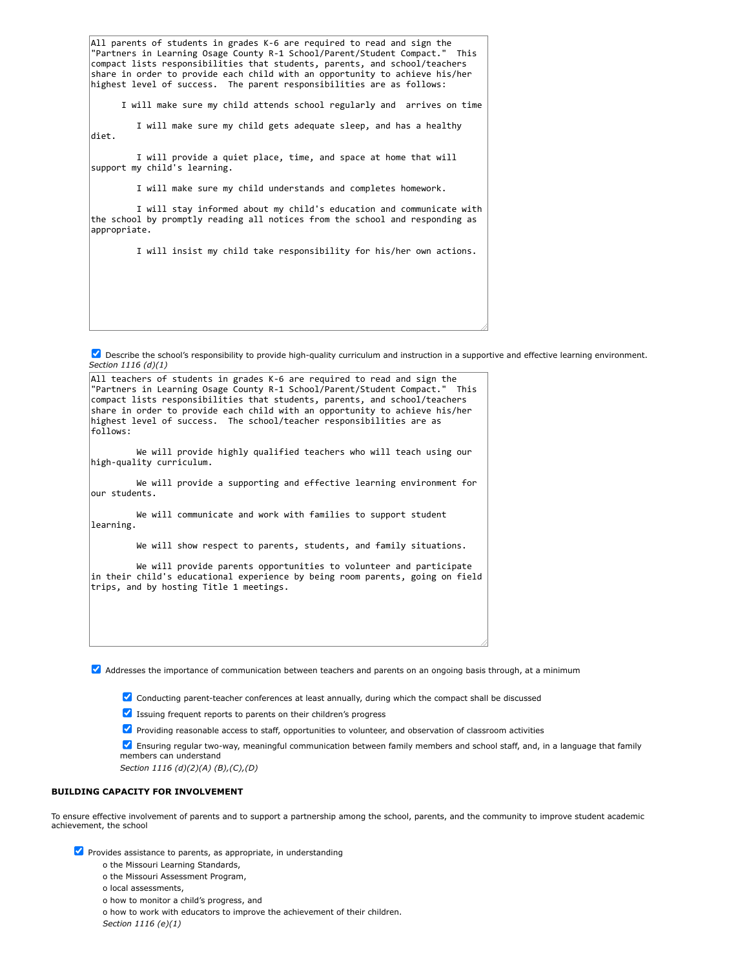All parents of students in grades K-6 are required to read and sign the<br>"Partners in Learning Osage County R-1 School/Parent/Student Compact " This "Partners in Learning Osage County R-1 School/Parent/Student Compact." compact lists responsibilities that students, parents, and school/teachers share in order to provide each child with an opportunity to achieve his/her highest level of success. The parent responsibilities are as follows:

I will make sure my child attends school regularly and arrives on time

I will make sure my child gets adequate sleep, and has a healthy diet.

I will provide a quiet place, time, and space at home that will support my child's learning.

I will make sure my child understands and completes homework.

I will stay informed about my child's education and communicate with the school by promptly reading all notices from the school and responding as appropriate.

I will insist my child take responsibility for his/her own actions.

Describe the school's responsibility to provide high-quality curriculum and instruction in a supportive and effective learning environment. *Section 1116 (d)(1)*



Addresses the importance of communication between teachers and parents on an ongoing basis through, at a minimum

Conducting parent-teacher conferences at least annually, during which the compact shall be discussed

 $\blacksquare$  Issuing frequent reports to parents on their children's progress

**Providing reasonable access to staff, opportunities to volunteer, and observation of classroom activities** 

Ensuring regular two-way, meaningful communication between family members and school staff, and, in a language that family members can understand

*Section 1116 (d)(2)(A) (B),(C),(D)*

#### **BUILDING CAPACITY FOR INVOLVEMENT**

To ensure effective involvement of parents and to support a partnership among the school, parents, and the community to improve student academic achievement, the school

 $\blacktriangleright$  Provides assistance to parents, as appropriate, in understanding

o the Missouri Learning Standards,

o the Missouri Assessment Program,

- o local assessments,
- o how to monitor a child's progress, and

o how to work with educators to improve the achievement of their children. *Section 1116 (e)(1)*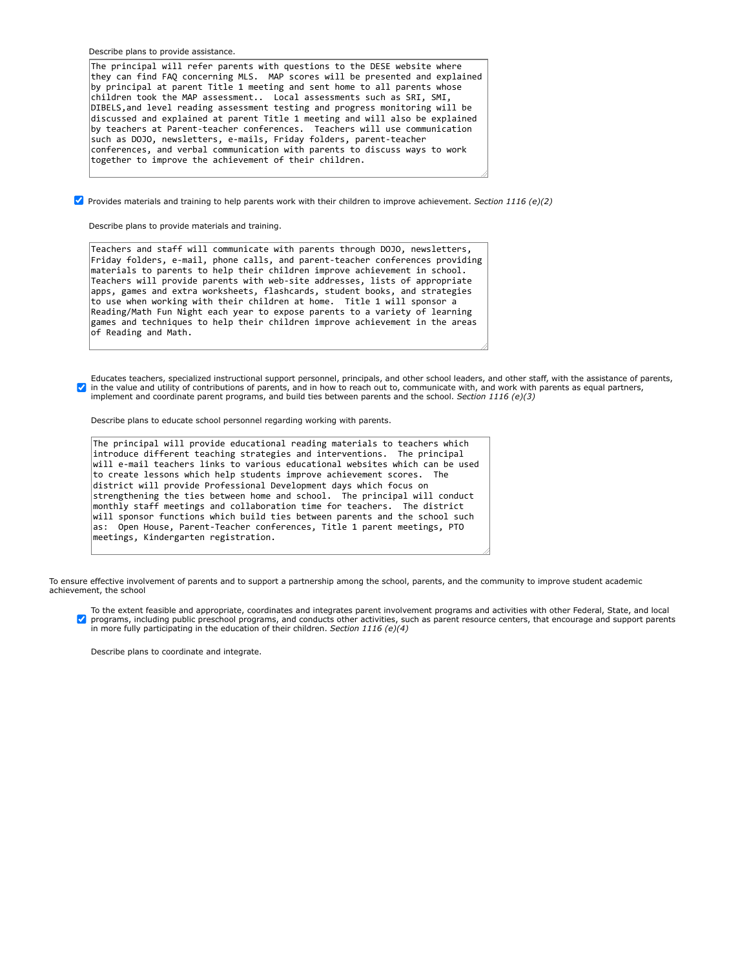Describe plans to provide assistance.

The principal will refer parents with questions to the DESE website where they can find FAQ concerning MLS. MAP scores will be presented and explained by principal at parent Title 1 meeting and sent home to all parents whose children took the MAP assessment.. Local assessments such as SRI, SMI, DIBELS,and level reading assessment testing and progress monitoring will be discussed and explained at parent Title 1 meeting and will also be explained by teachers at Parent-teacher conferences. Teachers will use communication such as DOJO, newsletters, e-mails, Friday folders, parent-teacher conferences, and verbal communication with parents to discuss ways to work together to improve the achievement of their children.

Provides materials and training to help parents work with their children to improve achievement. *Section 1116 (e)(2)*

Describe plans to provide materials and training.

Teachers and staff will communicate with parents through DOJO, newsletters, Friday folders, e-mail, phone calls, and parent-teacher conferences providing materials to parents to help their children improve achievement in school. Teachers will provide parents with web-site addresses, lists of appropriate apps, games and extra worksheets, flashcards, student books, and strategies to use when working with their children at home. Title 1 will sponsor a Reading/Math Fun Night each year to expose parents to a variety of learning games and techniques to help their children improve achievement in the areas of Reading and Math.

Educates teachers, specialized instructional support personnel, principals, and other school leaders, and other staff, with the assistance of parents, in the value and utility of contributions of parents, and in how to reach out to, communicate with, and work with parents as equal partners, implement and coordinate parent programs, and build ties between parents and the school. *Section 1116 (e)(3)*

Describe plans to educate school personnel regarding working with parents.

The principal will provide educational reading materials to teachers which introduce different teaching strategies and interventions. The principal will e-mail teachers links to various educational websites which can be used to create lessons which help students improve achievement scores. The district will provide Professional Development days which focus on strengthening the ties between home and school. The principal will conduct monthly staff meetings and collaboration time for teachers. The district will sponsor functions which build ties between parents and the school such as: Open House, Parent-Teacher conferences, Title 1 parent meetings, PTO meetings, Kindergarten registration.

To ensure effective involvement of parents and to support a partnership among the school, parents, and the community to improve student academic achievement, the school

To the extent feasible and appropriate, coordinates and integrates parent involvement programs and activities with other Federal, State, and local  $\blacktriangledown$ programs, including public preschool programs, and conducts other activities, such as parent resource centers, that encourage and support parents in more fully participating in the education of their children. *Section 1116 (e)(4)*

Describe plans to coordinate and integrate.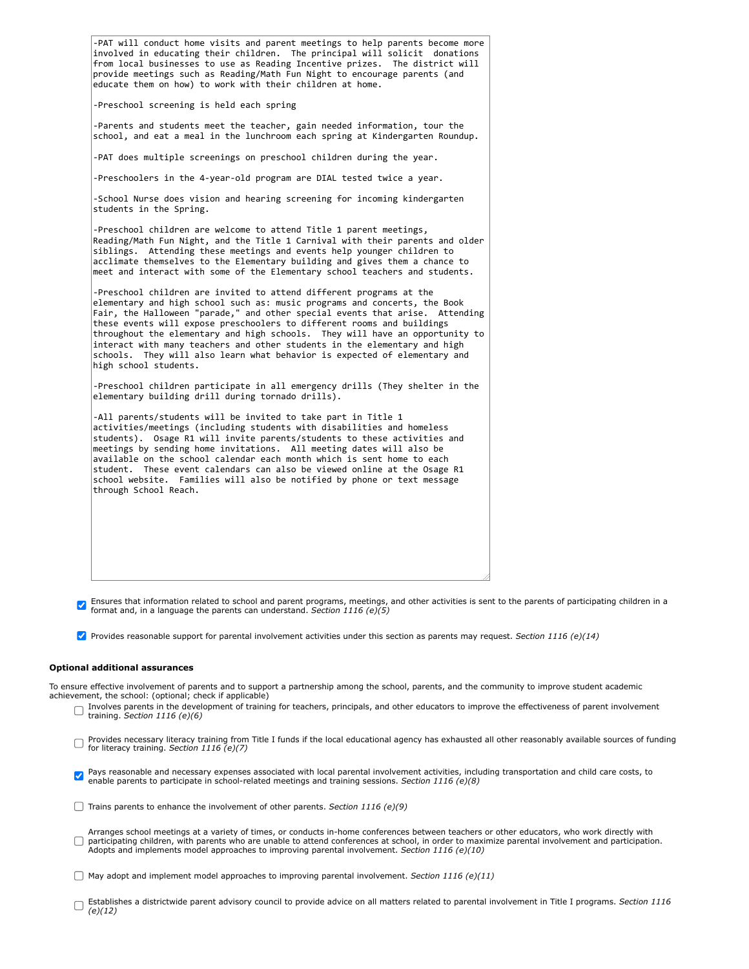| -PAT will conduct home visits and parent meetings to help parents become more<br>involved in educating their children. The principal will solicit donations<br>from local businesses to use as Reading Incentive prizes. The district will<br>provide meetings such as Reading/Math Fun Night to encourage parents (and<br>educate them on how) to work with their children at home.                                                                                                                                                                                             |
|----------------------------------------------------------------------------------------------------------------------------------------------------------------------------------------------------------------------------------------------------------------------------------------------------------------------------------------------------------------------------------------------------------------------------------------------------------------------------------------------------------------------------------------------------------------------------------|
| -Preschool screening is held each spring                                                                                                                                                                                                                                                                                                                                                                                                                                                                                                                                         |
| -Parents and students meet the teacher, gain needed information, tour the<br>school, and eat a meal in the lunchroom each spring at Kindergarten Roundup.                                                                                                                                                                                                                                                                                                                                                                                                                        |
| -PAT does multiple screenings on preschool children during the year.                                                                                                                                                                                                                                                                                                                                                                                                                                                                                                             |
| -Preschoolers in the 4-year-old program are DIAL tested twice a year.                                                                                                                                                                                                                                                                                                                                                                                                                                                                                                            |
| -School Nurse does vision and hearing screening for incoming kindergarten<br>students in the Spring.                                                                                                                                                                                                                                                                                                                                                                                                                                                                             |
| -Preschool children are welcome to attend Title 1 parent meetings,<br>Reading/Math Fun Night, and the Title 1 Carnival with their parents and older<br>siblings. Attending these meetings and events help younger children to<br>acclimate themselves to the Elementary building and gives them a chance to<br>meet and interact with some of the Elementary school teachers and students.                                                                                                                                                                                       |
| -Preschool children are invited to attend different programs at the<br>elementary and high school such as: music programs and concerts, the Book<br>Fair, the Halloween "parade," and other special events that arise. Attending<br>these events will expose preschoolers to different rooms and buildings<br>throughout the elementary and high schools. They will have an opportunity to<br>interact with many teachers and other students in the elementary and high<br>They will also learn what behavior is expected of elementary and<br>schools.<br>high school students. |
| -Preschool children participate in all emergency drills (They shelter in the<br>elementary building drill during tornado drills).                                                                                                                                                                                                                                                                                                                                                                                                                                                |
| -All parents/students will be invited to take part in Title 1<br>activities/meetings (including students with disabilities and homeless<br>students). Osage R1 will invite parents/students to these activities and<br>meetings by sending home invitations. All meeting dates will also be<br>available on the school calendar each month which is sent home to each<br>These event calendars can also be viewed online at the Osage R1<br>student.<br>school website. Families will also be notified by phone or text message<br>through School Reach.                         |
|                                                                                                                                                                                                                                                                                                                                                                                                                                                                                                                                                                                  |
|                                                                                                                                                                                                                                                                                                                                                                                                                                                                                                                                                                                  |

**Ensures that information related to school and parent programs, meetings, and other activities is sent to the parents of participating children in a formation of participating children in a** format and, in a language the parents can understand. *Section 1116 (e)(5)*

Provides reasonable support for parental involvement activities under this section as parents may request. *Section 1116 (e)(14)*

#### **Optional additional assurances**

To ensure effective involvement of parents and to support a partnership among the school, parents, and the community to improve student academic achievement, the school: (optional; check if applicable)

- Involves parents in the development of training for teachers, principals, and other educators to improve the effectiveness of parent involvement training. *Section 1116 (e)(6)*
- Provides necessary literacy training from Title I funds if the local educational agency has exhausted all other reasonably available sources of funding<br>for literacy training Soction 1116 (e)(7) for literacy training. *Section 1116 (e)(7)*

Pays reasonable and necessary expenses associated with local parental involvement activities, including transportation and child care costs, to  $\blacktriangledown$ enable parents to participate in school-related meetings and training sessions. *Section 1116 (e)(8)*

Trains parents to enhance the involvement of other parents. *Section 1116 (e)(9)*

Arranges school meetings at a variety of times, or conducts in-home conferences between teachers or other educators, who work directly with<br>participating children, with parents who are unable to attend conferences at schoo  $\Box$ 

May adopt and implement model approaches to improving parental involvement. *Section 1116 (e)(11)*

Establishes a districtwide parent advisory council to provide advice on all matters related to parental involvement in Title I programs. *Section 1116 (e)(12)*  $\Box$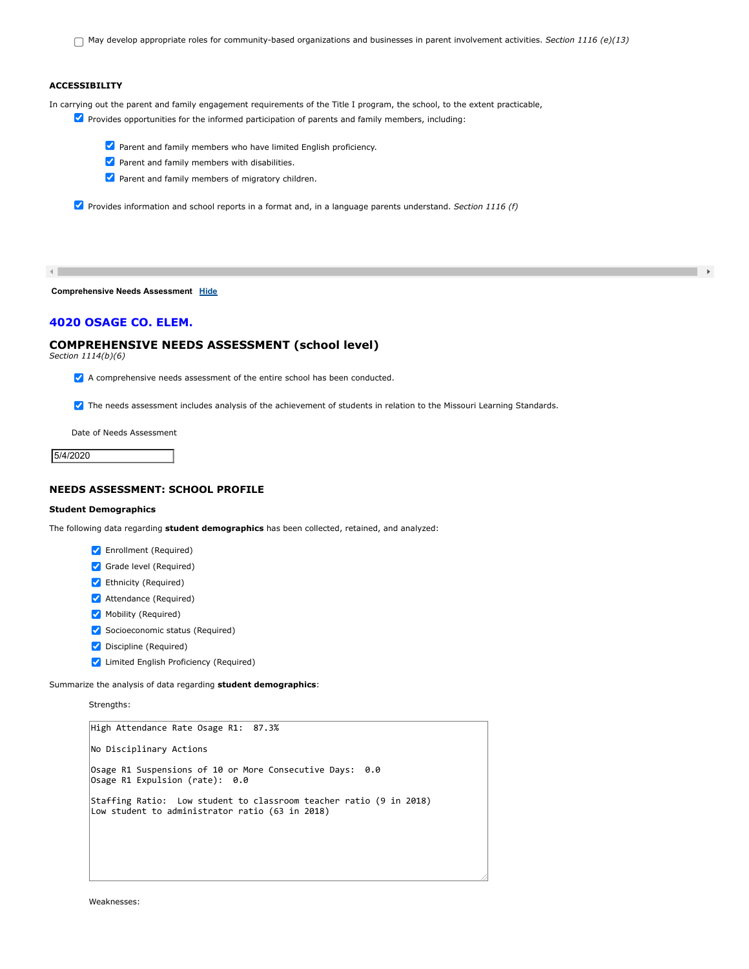May develop appropriate roles for community-based organizations and businesses in parent involvement activities. *Section 1116 (e)(13)*

 $\rightarrow$ 

# **ACCESSIBILITY**

In carrying out the parent and family engagement requirements of the Title I program, the school, to the extent practicable,

- **Provides opportunities for the informed participation of parents and family members, including:** 
	- Parent and family members who have limited English proficiency.
	- $\blacktriangleright$  Parent and family members with disabilities.
	- **Parent and family members of migratory children.**

Provides information and school reports in a format and, in a language parents understand. *Section 1116 (f)*

 $\left\| \cdot \right\|$ 

**Comprehensive Needs Assessment [Hide](javascript:__doPostBack()**

# **4020 OSAGE CO. ELEM.**

## **COMPREHENSIVE NEEDS ASSESSMENT (school level)**

*Section 1114(b)(6)*

 $\blacktriangleright$  A comprehensive needs assessment of the entire school has been conducted.

**7** The needs assessment includes analysis of the achievement of students in relation to the Missouri Learning Standards.

Date of Needs Assessment

5/4/2020

## **NEEDS ASSESSMENT: SCHOOL PROFILE**

### **Student Demographics**

The following data regarding **student demographics** has been collected, retained, and analyzed:

- **V** Enrollment (Required)
- Grade level (Required)
- Ethnicity (Required)
- **Attendance (Required)**
- Mobility (Required)
- Socioeconomic status (Required)
- **Discipline (Required)**
- **V** Limited English Proficiency (Required)

Summarize the analysis of data regarding **student demographics**:

Strengths:

```
High Attendance Rate Osage R1: 87.3%
No Disciplinary Actions
Osage R1 Suspensions of 10 or More Consecutive Days: 0.0
Osage R1 Expulsion (rate): 0.0
Staffing Ratio: Low student to classroom teacher ratio (9 in 2018)
Low student to administrator ratio (63 in 2018)
```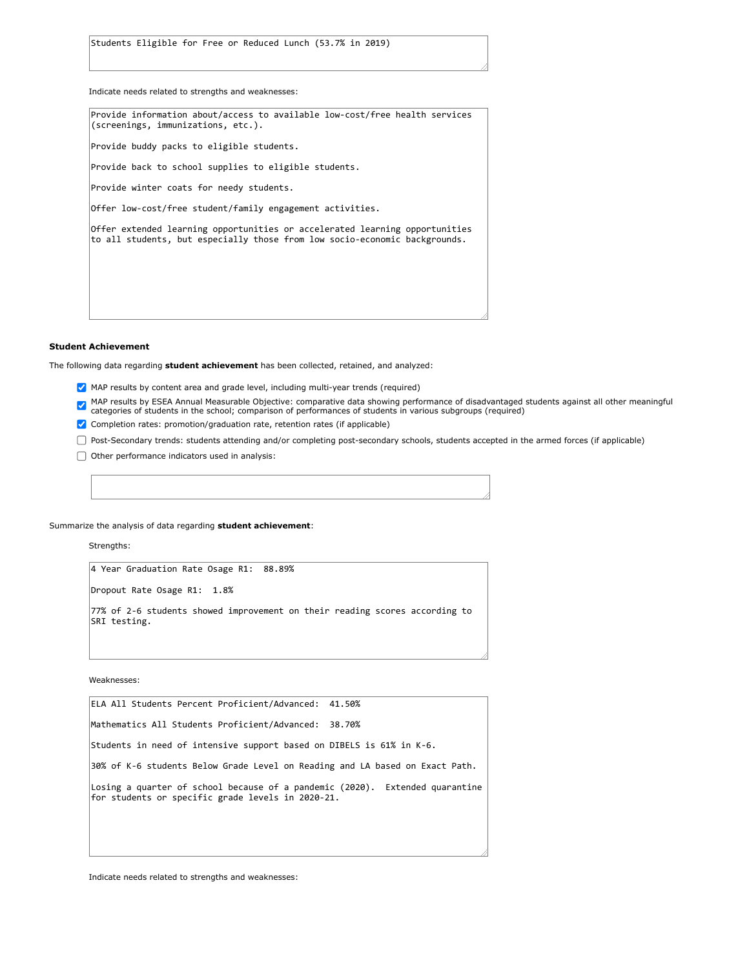Students Eligible for Free or Reduced Lunch (53.7% in 2019)

Indicate needs related to strengths and weaknesses:

Provide information about/access to available low-cost/free health services (screenings, immunizations, etc.). Provide buddy packs to eligible students. Provide back to school supplies to eligible students. Provide winter coats for needy students. Offer low-cost/free student/family engagement activities. Offer extended learning opportunities or accelerated learning opportunities to all students, but especially those from low socio-economic backgrounds.

#### **Student Achievement**

The following data regarding **student achievement** has been collected, retained, and analyzed:

- MAP results by content area and grade level, including multi-year trends (required)
- MAP results by ESEA Annual Measurable Objective: comparative data showing performance of disadvantaged students against all other meaningful<br>categories of students in the school; comparison of performances of students in v
- ✔ Completion rates: promotion/graduation rate, retention rates (if applicable)
- Post-Secondary trends: students attending and/or completing post-secondary schools, students accepted in the armed forces (if applicable)
- $\Box$  Other performance indicators used in analysis:

Summarize the analysis of data regarding **student achievement**:

Strengths:

4 Year Graduation Rate Osage R1: 88.89%

Dropout Rate Osage R1: 1.8%

77% of 2-6 students showed improvement on their reading scores according to SRI testing.

Weaknesses:

ELA All Students Percent Proficient/Advanced: 41.50% Mathematics All Students Proficient/Advanced: 38.70% Students in need of intensive support based on DIBELS is 61% in K-6. 30% of K-6 students Below Grade Level on Reading and LA based on Exact Path. Losing a quarter of school because of a pandemic (2020). Extended quarantine for students or specific grade levels in 2020-21.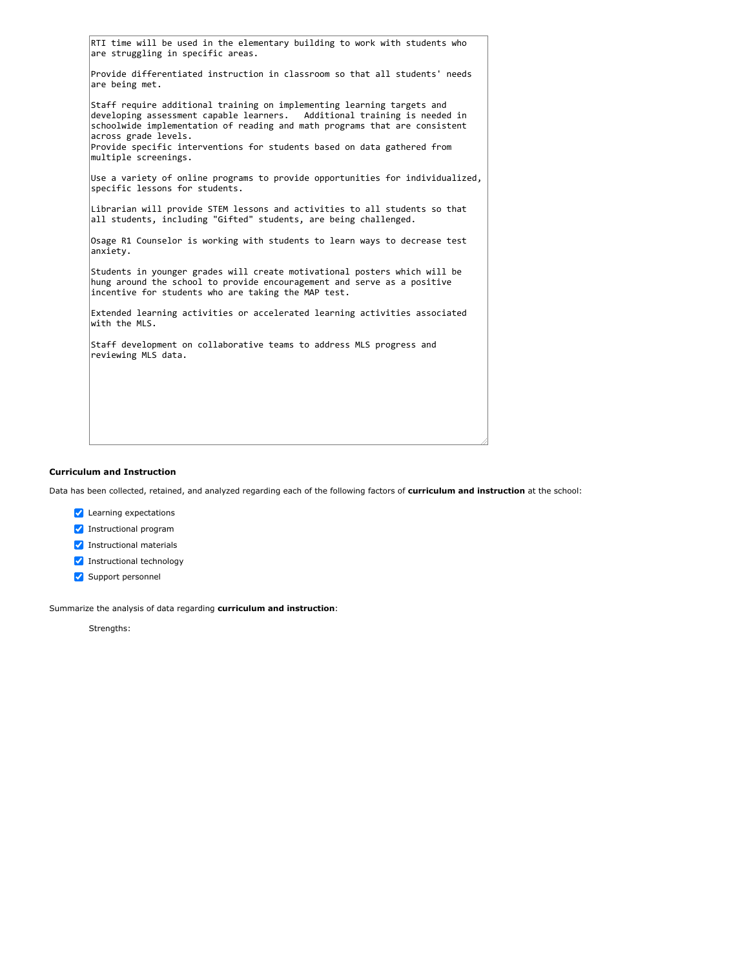|                                              | RTI time will be used in the elementary building to work with students who<br>are struggling in specific areas.                                                                                                                                                                                             |
|----------------------------------------------|-------------------------------------------------------------------------------------------------------------------------------------------------------------------------------------------------------------------------------------------------------------------------------------------------------------|
| are being met.                               | Provide differentiated instruction in classroom so that all students' needs                                                                                                                                                                                                                                 |
| across grade levels.<br>multiple screenings. | Staff require additional training on implementing learning targets and<br>developing assessment capable learners. Additional training is needed in<br>schoolwide implementation of reading and math programs that are consistent<br>Provide specific interventions for students based on data gathered from |
|                                              | Use a variety of online programs to provide opportunities for individualized,<br>specific lessons for students.                                                                                                                                                                                             |
|                                              | Librarian will provide STEM lessons and activities to all students so that<br>all students, including "Gifted" students, are being challenged.                                                                                                                                                              |
| anxiety.                                     | Osage R1 Counselor is working with students to learn ways to decrease test                                                                                                                                                                                                                                  |
|                                              | Students in younger grades will create motivational posters which will be<br>hung around the school to provide encouragement and serve as a positive<br>incentive for students who are taking the MAP test.                                                                                                 |
| with the MLS.                                | Extended learning activities or accelerated learning activities associated                                                                                                                                                                                                                                  |
|                                              | Staff development on collaborative teams to address MLS progress and<br>reviewing MLS data.                                                                                                                                                                                                                 |

## **Curriculum and Instruction**

Data has been collected, retained, and analyzed regarding each of the following factors of **curriculum and instruction** at the school:

- **V** Learning expectations
- Instructional program
- Instructional materials
- Instructional technology
- Support personnel

Summarize the analysis of data regarding **curriculum and instruction**:

Strengths: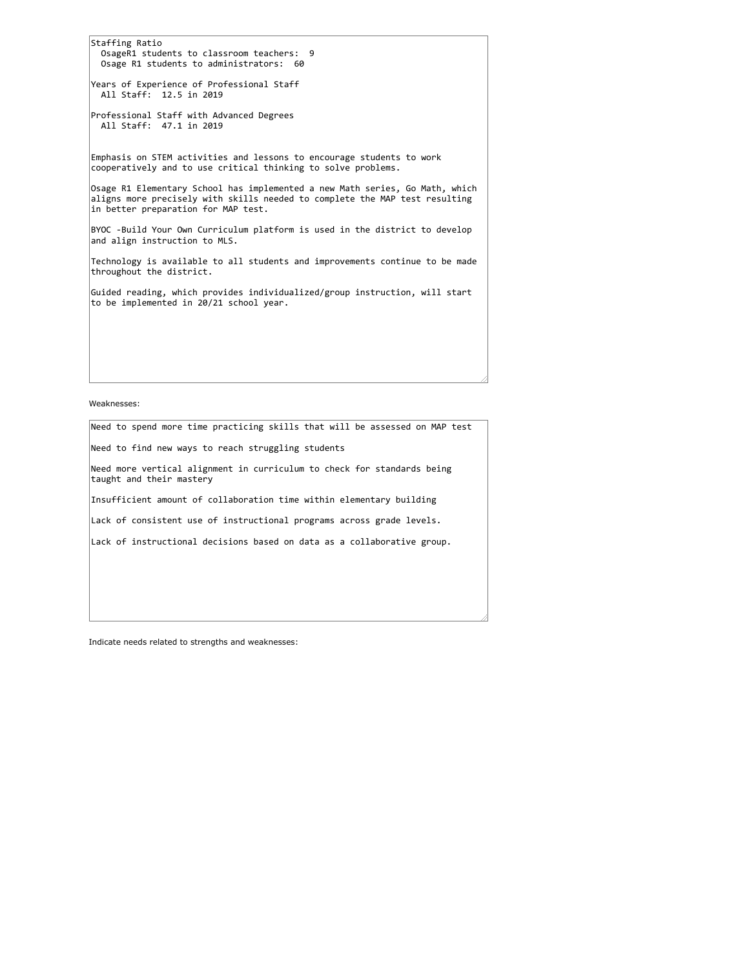Staffing Ratio OsageR1 students to classroom teachers: 9 Osage R1 students to administrators: 60 Years of Experience of Professional Staff All Staff: 12.5 in 2019 Professional Staff with Advanced Degrees All Staff: 47.1 in 2019 Emphasis on STEM activities and lessons to encourage students to work cooperatively and to use critical thinking to solve problems. Osage R1 Elementary School has implemented a new Math series, Go Math, which aligns more precisely with skills needed to complete the MAP test resulting in better preparation for MAP test. BYOC -Build Your Own Curriculum platform is used in the district to develop and align instruction to MLS. Technology is available to all students and improvements continue to be made throughout the district. Guided reading, which provides individualized/group instruction, will start to be implemented in 20/21 school year.

Weaknesses:

Need to spend more time practicing skills that will be assessed on MAP test Need to find new ways to reach struggling students Need more vertical alignment in curriculum to check for standards being taught and their mastery Insufficient amount of collaboration time within elementary building Lack of consistent use of instructional programs across grade levels. Lack of instructional decisions based on data as a collaborative group.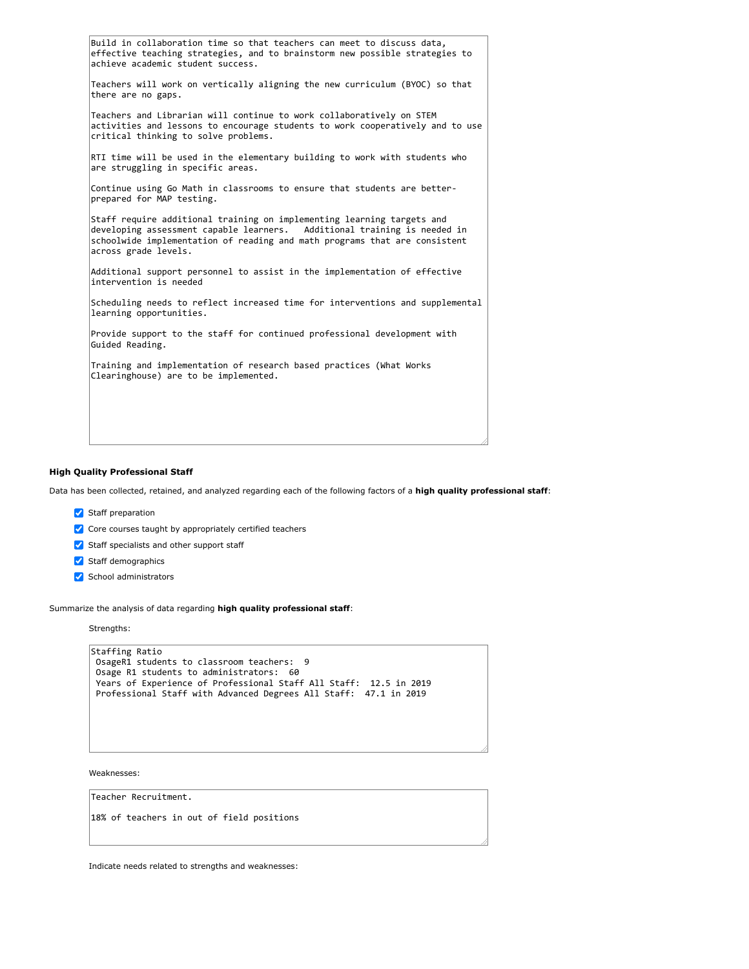| Build in collaboration time so that teachers can meet to discuss data,<br>effective teaching strategies, and to brainstorm new possible strategies to<br>achieve academic student success.                                                               |  |  |  |
|----------------------------------------------------------------------------------------------------------------------------------------------------------------------------------------------------------------------------------------------------------|--|--|--|
| Teachers will work on vertically aligning the new curriculum (BYOC) so that<br>there are no gaps.                                                                                                                                                        |  |  |  |
| Teachers and Librarian will continue to work collaboratively on STEM<br>activities and lessons to encourage students to work cooperatively and to use<br>critical thinking to solve problems.                                                            |  |  |  |
| RTI time will be used in the elementary building to work with students who<br>are struggling in specific areas.                                                                                                                                          |  |  |  |
| Continue using Go Math in classrooms to ensure that students are better-<br>prepared for MAP testing.                                                                                                                                                    |  |  |  |
| Staff require additional training on implementing learning targets and<br>developing assessment capable learners. Additional training is needed in<br>schoolwide implementation of reading and math programs that are consistent<br>across grade levels. |  |  |  |
| Additional support personnel to assist in the implementation of effective<br>intervention is needed                                                                                                                                                      |  |  |  |
| Scheduling needs to reflect increased time for interventions and supplemental<br>learning opportunities.                                                                                                                                                 |  |  |  |
| Provide support to the staff for continued professional development with<br>Guided Reading.                                                                                                                                                              |  |  |  |
| Training and implementation of research based practices (What Works<br>Clearinghouse) are to be implemented.                                                                                                                                             |  |  |  |
|                                                                                                                                                                                                                                                          |  |  |  |
|                                                                                                                                                                                                                                                          |  |  |  |

## **High Quality Professional Staff**

Data has been collected, retained, and analyzed regarding each of the following factors of a **high quality professional staff**:

- Staff preparation
- $\vee$  Core courses taught by appropriately certified teachers
- $\blacktriangleright$  Staff specialists and other support staff
- Staff demographics
- School administrators

Summarize the analysis of data regarding **high quality professional staff**:

Strengths:

| Staffing Ratio                                                    |
|-------------------------------------------------------------------|
| OsageR1 students to classroom teachers: 9                         |
| Osage R1 students to administrators: 60                           |
| Years of Experience of Professional Staff All Staff: 12.5 in 2019 |
| Professional Staff with Advanced Degrees All Staff: 47.1 in 2019  |
|                                                                   |

Weaknesses:

Teacher Recruitment.

18% of teachers in out of field positions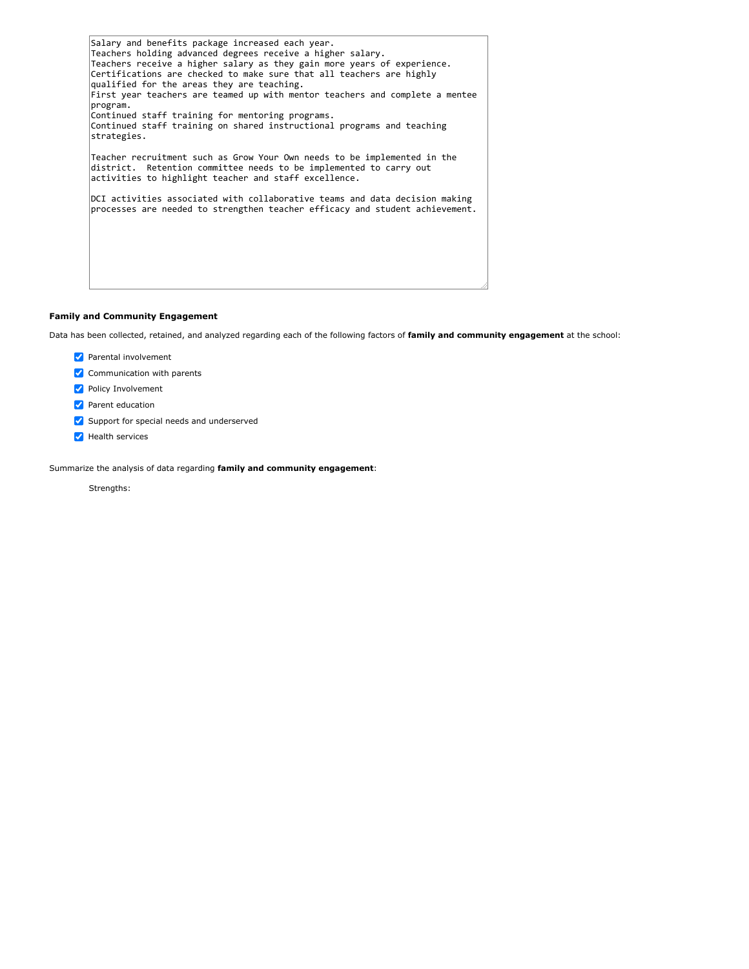| Salary and benefits package increased each year.<br>Teachers holding advanced degrees receive a higher salary.<br>Teachers receive a higher salary as they gain more years of experience.<br>Certifications are checked to make sure that all teachers are highly<br>qualified for the areas they are teaching.<br>First year teachers are teamed up with mentor teachers and complete a mentee<br>program.<br>Continued staff training for mentoring programs. |  |
|-----------------------------------------------------------------------------------------------------------------------------------------------------------------------------------------------------------------------------------------------------------------------------------------------------------------------------------------------------------------------------------------------------------------------------------------------------------------|--|
| Continued staff training on shared instructional programs and teaching<br>strategies.                                                                                                                                                                                                                                                                                                                                                                           |  |
| Teacher recruitment such as Grow Your Own needs to be implemented in the<br>district. Retention committee needs to be implemented to carry out<br>activities to highlight teacher and staff excellence.                                                                                                                                                                                                                                                         |  |
| DCI activities associated with collaborative teams and data decision making<br>processes are needed to strengthen teacher efficacy and student achievement.                                                                                                                                                                                                                                                                                                     |  |
|                                                                                                                                                                                                                                                                                                                                                                                                                                                                 |  |

# **Family and Community Engagement**

Data has been collected, retained, and analyzed regarding each of the following factors of **family and community engagement** at the school:

- Parental involvement
- $\vee$  Communication with parents
- **Policy Involvement**
- **Parent education**
- Support for special needs and underserved
- Health services

Summarize the analysis of data regarding **family and community engagement**:

Strengths: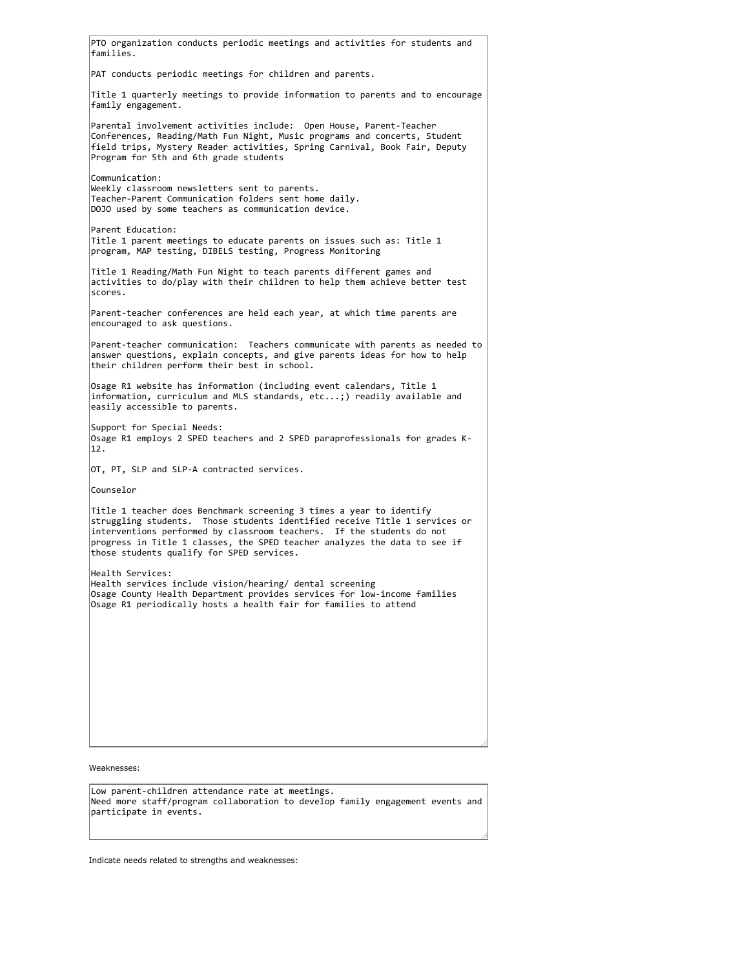Weaknesses: PTO organization conducts periodic meetings and activities for students and families. PAT conducts periodic meetings for children and parents. Title 1 quarterly meetings to provide information to parents and to encourage family engagement. Parental involvement activities include: Open House, Parent-Teacher Conferences, Reading/Math Fun Night, Music programs and concerts, Student field trips, Mystery Reader activities, Spring Carnival, Book Fair, Deputy Program for 5th and 6th grade students Communication: Weekly classroom newsletters sent to parents. Teacher-Parent Communication folders sent home daily. DOJO used by some teachers as communication device. Parent Education: Title 1 parent meetings to educate parents on issues such as: Title 1 program, MAP testing, DIBELS testing, Progress Monitoring Title 1 Reading/Math Fun Night to teach parents different games and activities to do/play with their children to help them achieve better test scores. Parent-teacher conferences are held each year, at which time parents are encouraged to ask questions. Parent-teacher communication: Teachers communicate with parents as needed to answer questions, explain concepts, and give parents ideas for how to help their children perform their best in school. Osage R1 website has information (including event calendars, Title 1 information, curriculum and MLS standards, etc...;) readily available and easily accessible to parents. Support for Special Needs: Osage R1 employs 2 SPED teachers and 2 SPED paraprofessionals for grades K-12. OT, PT, SLP and SLP-A contracted services. Counselor Title 1 teacher does Benchmark screening 3 times a year to identify struggling students. Those students identified receive Title 1 services or interventions performed by classroom teachers. If the students do not progress in Title 1 classes, the SPED teacher analyzes the data to see if those students qualify for SPED services. Health Services: Health services include vision/hearing/ dental screening Osage County Health Department provides services for low-income families Osage R1 periodically hosts a health fair for families to attend

Low parent-children attendance rate at meetings. Need more staff/program collaboration to develop family engagement events and participate in events.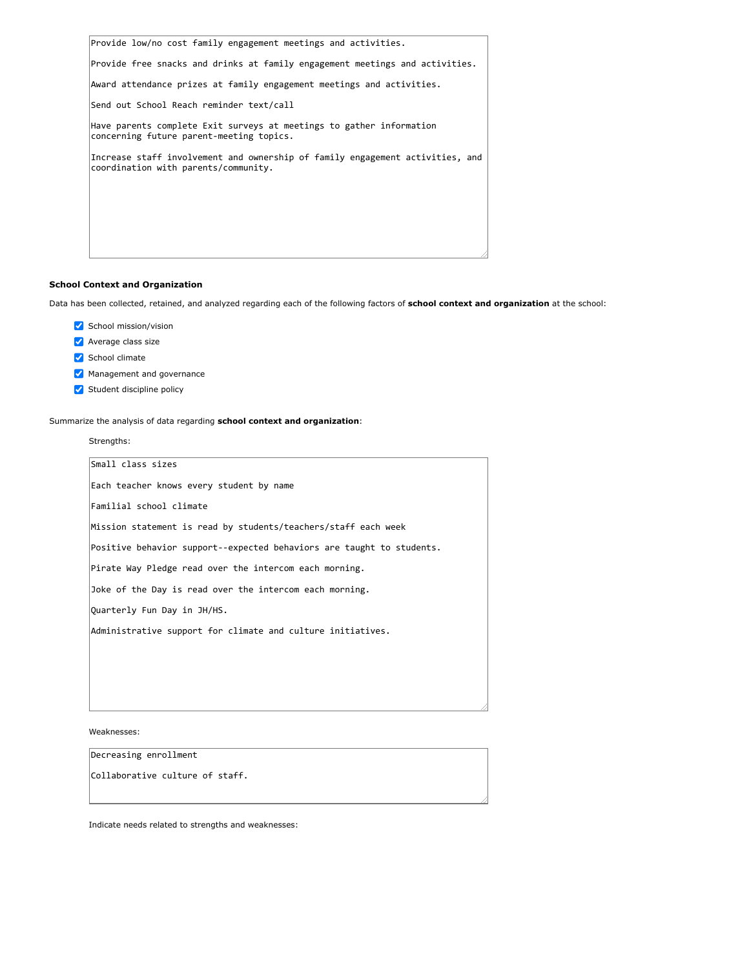Provide low/no cost family engagement meetings and activities.

Provide free snacks and drinks at family engagement meetings and activities.

Award attendance prizes at family engagement meetings and activities.

Send out School Reach reminder text/call

Have parents complete Exit surveys at meetings to gather information concerning future parent-meeting topics.

Increase staff involvement and ownership of family engagement activities, and coordination with parents/community.

#### **School Context and Organization**

Data has been collected, retained, and analyzed regarding each of the following factors of **school context and organization** at the school:

- School mission/vision
- **Average class size**
- School climate
- Management and governance
- Student discipline policy

Summarize the analysis of data regarding **school context and organization**:

Strengths:

| Small class sizes                                                     |
|-----------------------------------------------------------------------|
| Each teacher knows every student by name                              |
| Familial school climate                                               |
| Mission statement is read by students/teachers/staff each week        |
| Positive behavior support--expected behaviors are taught to students. |
| Pirate Way Pledge read over the intercom each morning.                |
| Joke of the Day is read over the intercom each morning.               |
| Quarterly Fun Day in JH/HS.                                           |
| Administrative support for climate and culture initiatives.           |
|                                                                       |
|                                                                       |
|                                                                       |

Weaknesses:

Decreasing enrollment

Collaborative culture of staff.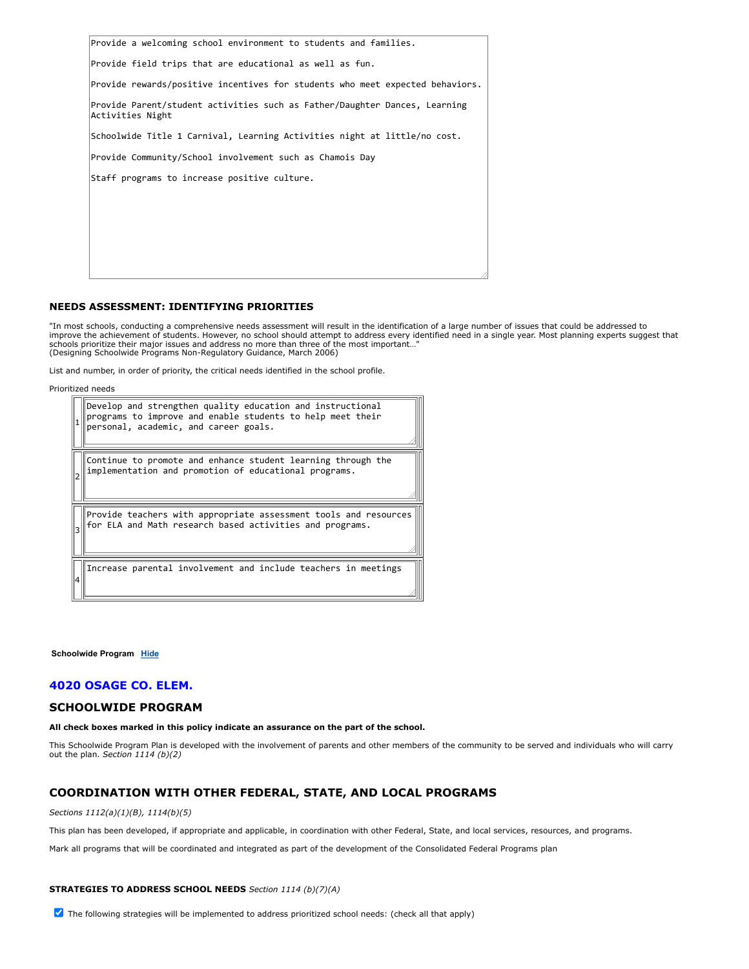|                                                          | Provide a welcoming school environment to students and families.              |
|----------------------------------------------------------|-------------------------------------------------------------------------------|
| Provide field trips that are educational as well as fun. |                                                                               |
|                                                          | Provide rewards/positive incentives for students who meet expected behaviors. |
| Activities Night                                         | Provide Parent/student activities such as Father/Daughter Dances, Learning    |
|                                                          | Schoolwide Title 1 Carnival, Learning Activities night at little/no cost.     |
| Provide Community/School involvement such as Chamois Day |                                                                               |
| Staff programs to increase positive culture.             |                                                                               |
|                                                          |                                                                               |
|                                                          |                                                                               |
|                                                          |                                                                               |
|                                                          |                                                                               |
|                                                          |                                                                               |

### **NEEDS ASSESSMENT: IDENTIFYING PRIORITIES**

"In most schools, conducting a comprehensive needs assessment will result in the identification of a large number of issues that could be addressed to improve the achievement of students. However, no school should attempt to address every identified need in a single year. Most planning experts suggest that schools prioritize their major issues and address no more than three of the most important…" (Designing Schoolwide Programs Non-Regulatory Guidance, March 2006)

List and number, in order of priority, the critical needs identified in the school profile.

Prioritized needs

| Develop and strengthen quality education and instructional<br>programs to improve and enable students to help meet their<br>personal, academic, and career goals. |
|-------------------------------------------------------------------------------------------------------------------------------------------------------------------|
| Continue to promote and enhance student learning through the<br>implementation and promotion of educational programs.                                             |
| Provide teachers with appropriate assessment tools and resources<br>for ELA and Math research based activities and programs.                                      |
| Increase parental involvement and include teachers in meetings                                                                                                    |

#### **Schoolwide Program [Hide](javascript:__doPostBack()**

# **4020 OSAGE CO. ELEM.**

## **SCHOOLWIDE PROGRAM**

#### **All check boxes marked in this policy indicate an assurance on the part of the school.**

This Schoolwide Program Plan is developed with the involvement of parents and other members of the community to be served and individuals who will carry out the plan. *Section 1114 (b)(2)*

# **COORDINATION WITH OTHER FEDERAL, STATE, AND LOCAL PROGRAMS**

# *Sections 1112(a)(1)(B), 1114(b)(5)*

This plan has been developed, if appropriate and applicable, in coordination with other Federal, State, and local services, resources, and programs.

Mark all programs that will be coordinated and integrated as part of the development of the Consolidated Federal Programs plan

#### **STRATEGIES TO ADDRESS SCHOOL NEEDS** *Section 1114 (b)(7)(A)*

 $\blacktriangledown$  The following strategies will be implemented to address prioritized school needs: (check all that apply)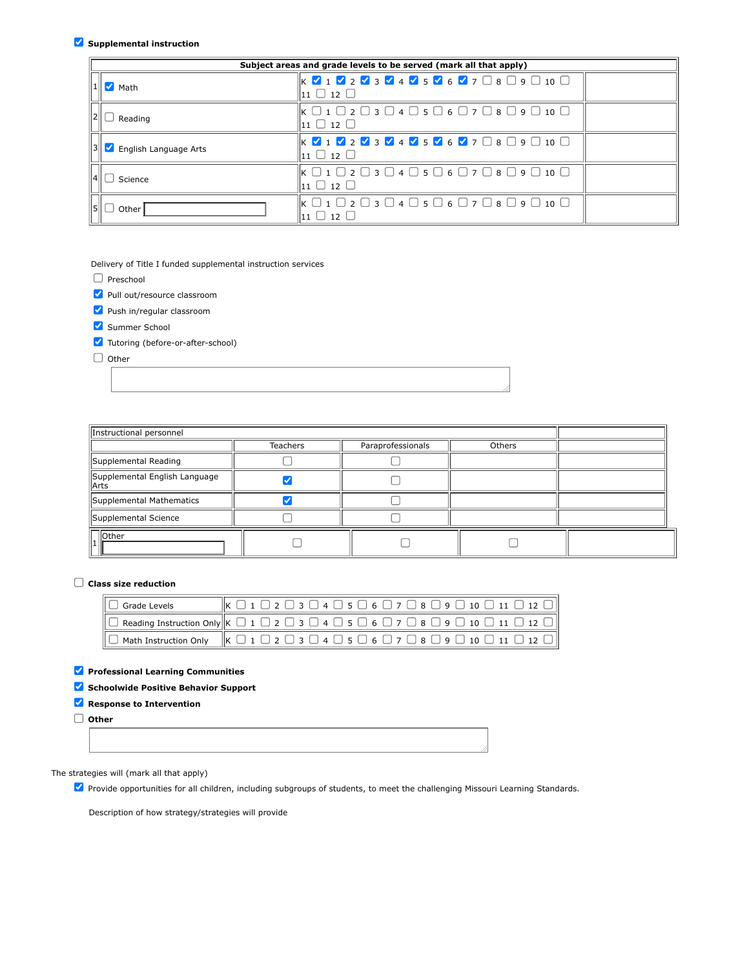# **Supplemental instruction**

| Subject areas and grade levels to be served (mark all that apply) |                                                                                                                                                                                                                                                  |  |  |
|-------------------------------------------------------------------|--------------------------------------------------------------------------------------------------------------------------------------------------------------------------------------------------------------------------------------------------|--|--|
| $M$ Math                                                          | $\mathbb{K}$ $\mathbb{V}$ 1 $\mathbb{V}$ 2 $\mathbb{V}$ 3 $\mathbb{V}$ 4 $\mathbb{V}$ 5 $\mathbb{V}$ 6 $\mathbb{V}$ 7 $\Box$ 8 $\Box$ 9 $\Box$ 10 $\Box$<br>$11 \cup 12 \cup$                                                                    |  |  |
| Reading                                                           | $\parallel$ K $\Box$ 1 $\Box$ 2 $\Box$ 3 $\Box$ 4 $\Box$ 5 $\Box$ 6 $\Box$ 7 $\Box$ 8 $\Box$ 9 $\Box$ 10 $\Box$<br>$\mathsf{I}_{\mathsf{1}\mathsf{1}}\ \Box\ \mathsf{1}\mathsf{2}\ \Box$                                                         |  |  |
| English Language Arts                                             | $\mathbb{K} \times \mathbf{1} \times \mathbf{2} \times \mathbf{3} \times \mathbf{4} \times \mathbf{5} \times \mathbf{6} \times \mathbf{7} \quad \mathbf{8} \quad \mathbf{9} \quad \mathbf{10} \quad \mathbf{0}$<br>$\ln 1$ $\Box$ $\ln 2$ $\Box$ |  |  |
| Science                                                           | $\mathbb{K} \ \Box$ 1 $\Box$ 2 $\Box$ 3 $\Box$ 4 $\Box$ 5 $\Box$ 6 $\Box$ 7 $\Box$ 8 $\Box$ 9 $\Box$ 10 $\Box$<br>$111 \square 12 \square$                                                                                                       |  |  |
| Other                                                             | $\parallel$ K $\Box$ 1 $\Box$ 2 $\Box$ 3 $\Box$ 4 $\Box$ 5 $\Box$ 6 $\Box$ 7 $\Box$ 8 $\Box$ 9 $\Box$ 10 $\Box$<br>$11 \Box 12$                                                                                                                  |  |  |

Delivery of Title I funded supplemental instruction services

|  | Preschool |
|--|-----------|
|--|-----------|

Pull out/resource classroom

Push in/regular classroom

Summer School

Tutoring (before-or-after-school)

 $\Box$  Other

| Instructional personnel                 |                 |                   |        |  |
|-----------------------------------------|-----------------|-------------------|--------|--|
|                                         | <b>Teachers</b> | Paraprofessionals | Others |  |
| Supplemental Reading                    |                 |                   |        |  |
| Supplemental English Language<br>  Arts |                 |                   |        |  |
| Supplemental Mathematics                |                 |                   |        |  |
| Supplemental Science                    |                 |                   |        |  |
| <b>Other</b>                            |                 |                   |        |  |

# **Class size reduction**

| $\mathbb{I} \cup$ Grade Levels | $\ \mathbf{K} \square \mathbf{1} \square \mathbf{2} \square \mathbf{3} \square \mathbf{4} \square \mathbf{5} \square \mathbf{6} \square \mathbf{7} \square \mathbf{8} \square \mathbf{9} \square \mathbf{10} \square \mathbf{11} \square \mathbf{12} \square \ $ |
|--------------------------------|------------------------------------------------------------------------------------------------------------------------------------------------------------------------------------------------------------------------------------------------------------------|
|                                | $\Box$ Reading Instruction Only $\Vert K \Box 1 \Box 2 \Box 3 \Box 4 \Box 5 \Box 6 \Box 7 \Box 8 \Box 9 \Box 10 \Box 11 \Box 12 \Box \Vert$                                                                                                                      |
|                                | $\ \Box$ Math Instruction Only $\ $ K $\Box$ 1 $\Box$ 2 $\Box$ 3 $\Box$ 4 $\Box$ 5 $\Box$ 6 $\Box$ 7 $\Box$ 8 $\Box$ 9 $\Box$ 10 $\Box$ 11 $\Box$ 12 $\Box$                                                                                                      |

# **Professional Learning Communities**

**Schoolwide Positive Behavior Support**

# **Response to Intervention**

**Other**

# The strategies will (mark all that apply)

**Z** Provide opportunities for all children, including subgroups of students, to meet the challenging Missouri Learning Standards.

Description of how strategy/strategies will provide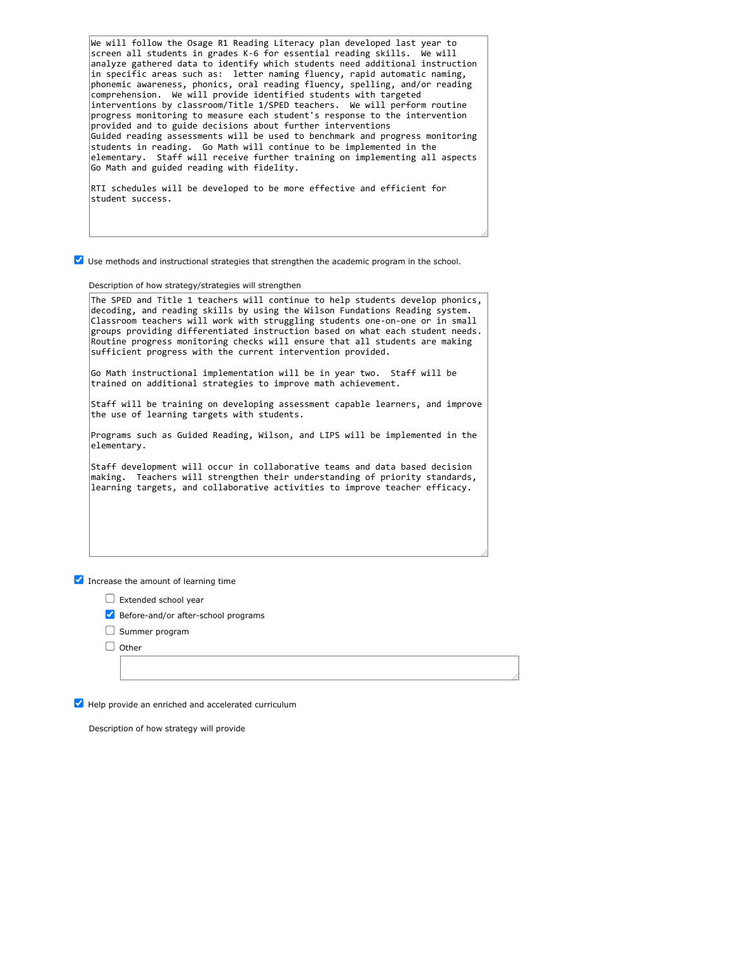We will follow the Osage R1 Reading Literacy plan developed last year to screen all students in grades K-6 for essential reading skills. We will analyze gathered data to identify which students need additional instruction in specific areas such as: letter naming fluency, rapid automatic naming, phonemic awareness, phonics, oral reading fluency, spelling, and/or reading comprehension. We will provide identified students with targeted interventions by classroom/Title 1/SPED teachers. We will perform routine progress monitoring to measure each student's response to the intervention provided and to guide decisions about further interventions Guided reading assessments will be used to benchmark and progress monitoring students in reading. Go Math will continue to be implemented in the elementary. Staff will receive further training on implementing all aspects Go Math and guided reading with fidelity.

RTI schedules will be developed to be more effective and efficient for student success.

Use methods and instructional strategies that strengthen the academic program in the school.

Description of how strategy/strategies will strengthen

The SPED and Title 1 teachers will continue to help students develop phonics, decoding, and reading skills by using the Wilson Fundations Reading system. Classroom teachers will work with struggling students one-on-one or in small groups providing differentiated instruction based on what each student needs. Routine progress monitoring checks will ensure that all students are making sufficient progress with the current intervention provided.

Go Math instructional implementation will be in year two. Staff will be trained on additional strategies to improve math achievement.

Staff will be training on developing assessment capable learners, and improve the use of learning targets with students.

Programs such as Guided Reading, Wilson, and LIPS will be implemented in the elementary.

Staff development will occur in collaborative teams and data based decision making. Teachers will strengthen their understanding of priority standards, learning targets, and collaborative activities to improve teacher efficacy.

 $\blacksquare$  Increase the amount of learning time

- $\Box$  Extended school year
- Before-and/or after-school programs
- $\Box$  Summer program
- $\Box$  Other

Help provide an enriched and accelerated curriculum

Description of how strategy will provide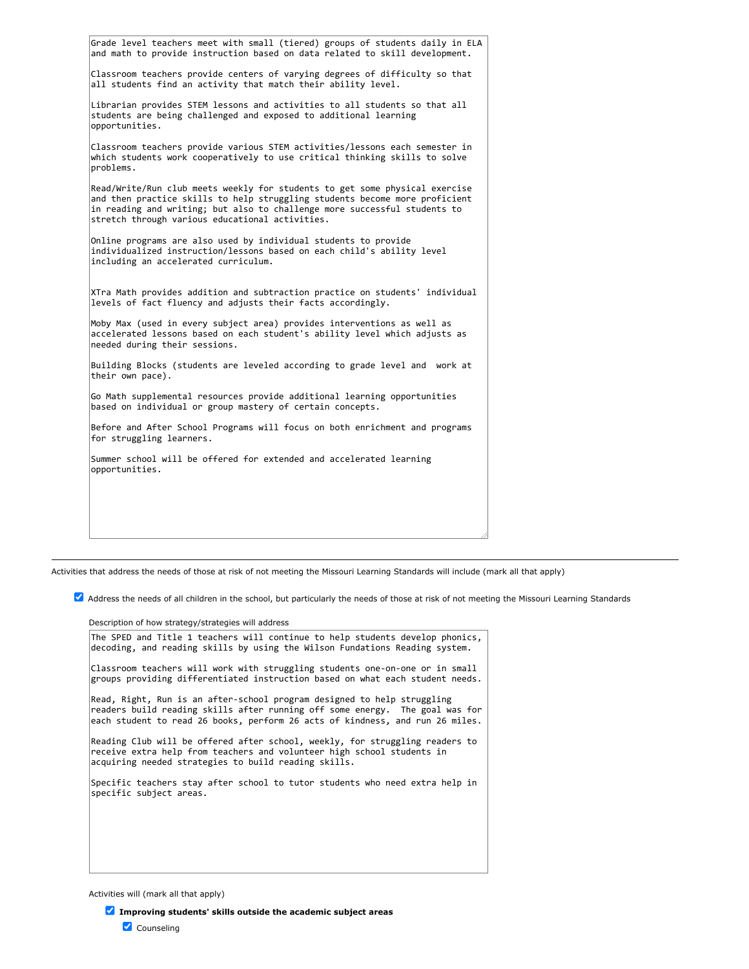| Grade level teachers meet with small (tiered) groups of students daily in ELA<br>and math to provide instruction based on data related to skill development.                                                                                                                               |
|--------------------------------------------------------------------------------------------------------------------------------------------------------------------------------------------------------------------------------------------------------------------------------------------|
| Classroom teachers provide centers of varying degrees of difficulty so that<br>all students find an activity that match their ability level.                                                                                                                                               |
| Librarian provides STEM lessons and activities to all students so that all<br>students are being challenged and exposed to additional learning<br>opportunities.                                                                                                                           |
| Classroom teachers provide various STEM activities/lessons each semester in<br>which students work cooperatively to use critical thinking skills to solve<br>problems.                                                                                                                     |
| Read/Write/Run club meets weekly for students to get some physical exercise<br>and then practice skills to help struggling students become more proficient<br>in reading and writing; but also to challenge more successful students to<br>stretch through various educational activities. |
| Online programs are also used by individual students to provide<br>individualized instruction/lessons based on each child's ability level<br>including an accelerated curriculum.                                                                                                          |
| XTra Math provides addition and subtraction practice on students' individual<br>levels of fact fluency and adjusts their facts accordingly.                                                                                                                                                |
| Moby Max (used in every subject area) provides interventions as well as<br>accelerated lessons based on each student's ability level which adjusts as<br>needed during their sessions.                                                                                                     |
| Building Blocks (students are leveled according to grade level and work at<br>their own pace).                                                                                                                                                                                             |
| Go Math supplemental resources provide additional learning opportunities<br>based on individual or group mastery of certain concepts.                                                                                                                                                      |
| Before and After School Programs will focus on both enrichment and programs<br>for struggling learners.                                                                                                                                                                                    |
| Summer school will be offered for extended and accelerated learning<br>opportunities.                                                                                                                                                                                                      |
|                                                                                                                                                                                                                                                                                            |

Activities that address the needs of those at risk of not meeting the Missouri Learning Standards will include (mark all that apply)

Address the needs of all children in the school, but particularly the needs of those at risk of not meeting the Missouri Learning Standards

Description of how strategy/strategies will address

The SPED and Title 1 teachers will continue to help students develop phonics, decoding, and reading skills by using the Wilson Fundations Reading system. Classroom teachers will work with struggling students one-on-one or in small groups providing differentiated instruction based on what each student needs. Read, Right, Run is an after-school program designed to help struggling readers build reading skills after running off some energy. The goal was for each student to read 26 books, perform 26 acts of kindness, and run 26 miles. Reading Club will be offered after school, weekly, for struggling readers to receive extra help from teachers and volunteer high school students in acquiring needed strategies to build reading skills. Specific teachers stay after school to tutor students who need extra help in specific subject areas.

Activities will (mark all that apply)

**Improving students' skills outside the academic subject areas** Counseling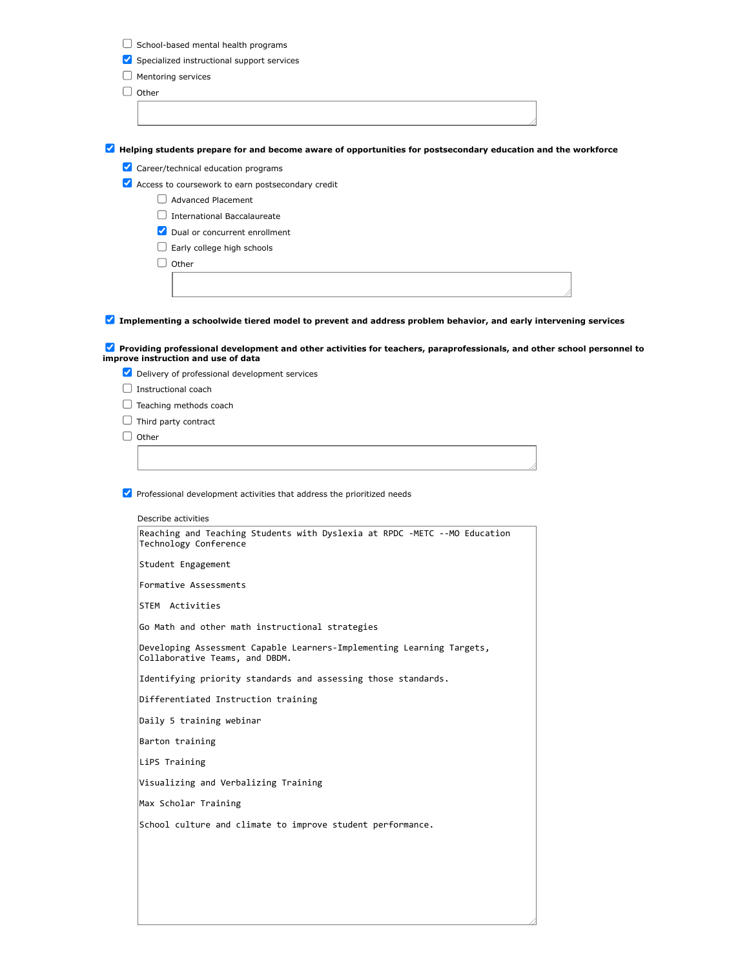| Specialized instructional support services<br>Mentoring services<br>Other<br><b>Advanced Placement</b><br>$\Box$ International Baccalaureate<br>Dual or concurrent enrollment<br>Early college high schools<br>Other<br>Instructional coach<br>Teaching methods coach<br>Third party contract<br>Other<br>Describe activities<br>Reaching and Teaching Students with Dyslexia at RPDC -METC --MO Education<br>Technology Conference<br>Student Engagement<br>Formative Assessments<br>STEM Activities<br>Go Math and other math instructional strategies<br>Developing Assessment Capable Learners-Implementing Learning Targets,<br>Collaborative Teams, and DBDM.<br>Identifying priority standards and assessing those standards.<br>Differentiated Instruction training<br>Daily 5 training webinar<br>Barton training<br>LiPS Training<br>Visualizing and Verbalizing Training<br>Max Scholar Training<br>School culture and climate to improve student performance. | School-based mental health programs |
|---------------------------------------------------------------------------------------------------------------------------------------------------------------------------------------------------------------------------------------------------------------------------------------------------------------------------------------------------------------------------------------------------------------------------------------------------------------------------------------------------------------------------------------------------------------------------------------------------------------------------------------------------------------------------------------------------------------------------------------------------------------------------------------------------------------------------------------------------------------------------------------------------------------------------------------------------------------------------|-------------------------------------|
|                                                                                                                                                                                                                                                                                                                                                                                                                                                                                                                                                                                                                                                                                                                                                                                                                                                                                                                                                                           |                                     |
|                                                                                                                                                                                                                                                                                                                                                                                                                                                                                                                                                                                                                                                                                                                                                                                                                                                                                                                                                                           |                                     |
|                                                                                                                                                                                                                                                                                                                                                                                                                                                                                                                                                                                                                                                                                                                                                                                                                                                                                                                                                                           |                                     |
| A Helping students prepare for and become aware of opportunities for postsecondary education and the workforce<br>Career/technical education programs<br>Access to coursework to earn postsecondary credit<br>Implementing a schoolwide tiered model to prevent and address problem behavior, and early intervening services<br>Providing professional development and other activities for teachers, paraprofessionals, and other school personnel to<br>improve instruction and use of data<br>Delivery of professional development services<br>$\blacktriangleright$ Professional development activities that address the prioritized needs                                                                                                                                                                                                                                                                                                                            |                                     |
|                                                                                                                                                                                                                                                                                                                                                                                                                                                                                                                                                                                                                                                                                                                                                                                                                                                                                                                                                                           |                                     |
|                                                                                                                                                                                                                                                                                                                                                                                                                                                                                                                                                                                                                                                                                                                                                                                                                                                                                                                                                                           |                                     |
|                                                                                                                                                                                                                                                                                                                                                                                                                                                                                                                                                                                                                                                                                                                                                                                                                                                                                                                                                                           |                                     |
|                                                                                                                                                                                                                                                                                                                                                                                                                                                                                                                                                                                                                                                                                                                                                                                                                                                                                                                                                                           |                                     |
|                                                                                                                                                                                                                                                                                                                                                                                                                                                                                                                                                                                                                                                                                                                                                                                                                                                                                                                                                                           |                                     |
|                                                                                                                                                                                                                                                                                                                                                                                                                                                                                                                                                                                                                                                                                                                                                                                                                                                                                                                                                                           |                                     |
|                                                                                                                                                                                                                                                                                                                                                                                                                                                                                                                                                                                                                                                                                                                                                                                                                                                                                                                                                                           |                                     |
|                                                                                                                                                                                                                                                                                                                                                                                                                                                                                                                                                                                                                                                                                                                                                                                                                                                                                                                                                                           |                                     |
|                                                                                                                                                                                                                                                                                                                                                                                                                                                                                                                                                                                                                                                                                                                                                                                                                                                                                                                                                                           |                                     |
|                                                                                                                                                                                                                                                                                                                                                                                                                                                                                                                                                                                                                                                                                                                                                                                                                                                                                                                                                                           |                                     |
|                                                                                                                                                                                                                                                                                                                                                                                                                                                                                                                                                                                                                                                                                                                                                                                                                                                                                                                                                                           |                                     |
|                                                                                                                                                                                                                                                                                                                                                                                                                                                                                                                                                                                                                                                                                                                                                                                                                                                                                                                                                                           |                                     |
|                                                                                                                                                                                                                                                                                                                                                                                                                                                                                                                                                                                                                                                                                                                                                                                                                                                                                                                                                                           |                                     |
|                                                                                                                                                                                                                                                                                                                                                                                                                                                                                                                                                                                                                                                                                                                                                                                                                                                                                                                                                                           |                                     |
|                                                                                                                                                                                                                                                                                                                                                                                                                                                                                                                                                                                                                                                                                                                                                                                                                                                                                                                                                                           |                                     |
|                                                                                                                                                                                                                                                                                                                                                                                                                                                                                                                                                                                                                                                                                                                                                                                                                                                                                                                                                                           |                                     |
|                                                                                                                                                                                                                                                                                                                                                                                                                                                                                                                                                                                                                                                                                                                                                                                                                                                                                                                                                                           |                                     |
|                                                                                                                                                                                                                                                                                                                                                                                                                                                                                                                                                                                                                                                                                                                                                                                                                                                                                                                                                                           |                                     |
|                                                                                                                                                                                                                                                                                                                                                                                                                                                                                                                                                                                                                                                                                                                                                                                                                                                                                                                                                                           |                                     |
|                                                                                                                                                                                                                                                                                                                                                                                                                                                                                                                                                                                                                                                                                                                                                                                                                                                                                                                                                                           |                                     |
|                                                                                                                                                                                                                                                                                                                                                                                                                                                                                                                                                                                                                                                                                                                                                                                                                                                                                                                                                                           |                                     |
|                                                                                                                                                                                                                                                                                                                                                                                                                                                                                                                                                                                                                                                                                                                                                                                                                                                                                                                                                                           |                                     |
|                                                                                                                                                                                                                                                                                                                                                                                                                                                                                                                                                                                                                                                                                                                                                                                                                                                                                                                                                                           |                                     |
|                                                                                                                                                                                                                                                                                                                                                                                                                                                                                                                                                                                                                                                                                                                                                                                                                                                                                                                                                                           |                                     |
|                                                                                                                                                                                                                                                                                                                                                                                                                                                                                                                                                                                                                                                                                                                                                                                                                                                                                                                                                                           |                                     |
|                                                                                                                                                                                                                                                                                                                                                                                                                                                                                                                                                                                                                                                                                                                                                                                                                                                                                                                                                                           |                                     |
|                                                                                                                                                                                                                                                                                                                                                                                                                                                                                                                                                                                                                                                                                                                                                                                                                                                                                                                                                                           |                                     |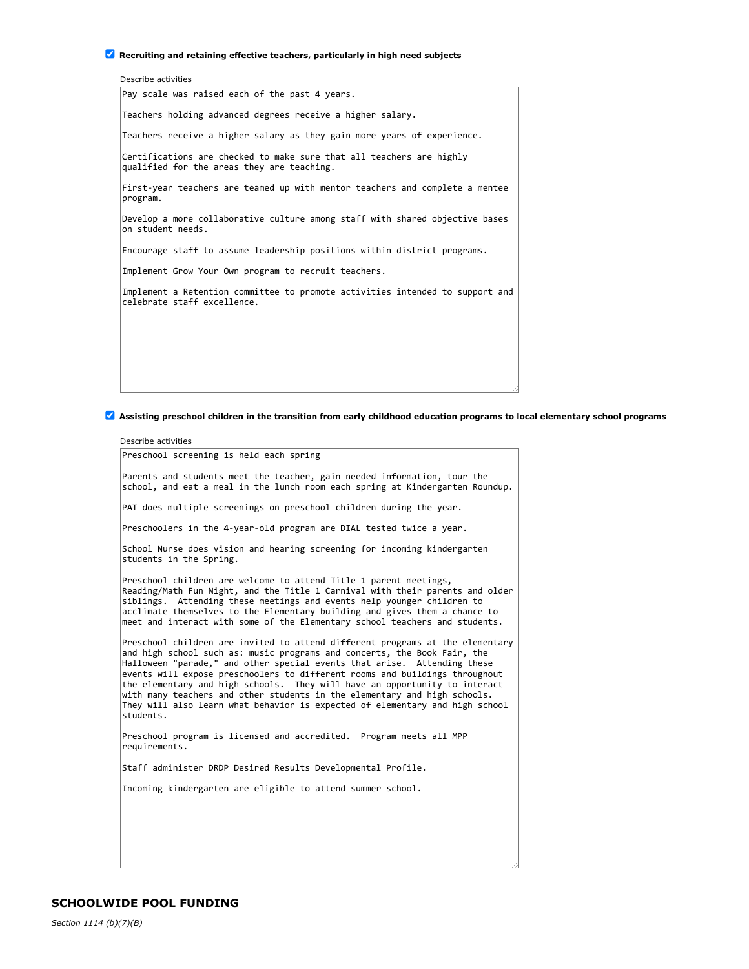## **Recruiting and retaining effective teachers, particularly in high need subjects**

| Pay scale was raised each of the past 4 years.<br>Teachers holding advanced degrees receive a higher salary.<br>Teachers receive a higher salary as they gain more years of experience.<br>Certifications are checked to make sure that all teachers are highly |
|-----------------------------------------------------------------------------------------------------------------------------------------------------------------------------------------------------------------------------------------------------------------|
|                                                                                                                                                                                                                                                                 |
|                                                                                                                                                                                                                                                                 |
|                                                                                                                                                                                                                                                                 |
| qualified for the areas they are teaching.                                                                                                                                                                                                                      |
| First-year teachers are teamed up with mentor teachers and complete a mentee<br>program.                                                                                                                                                                        |
| Develop a more collaborative culture among staff with shared objective bases<br>on student needs.                                                                                                                                                               |
| Encourage staff to assume leadership positions within district programs.                                                                                                                                                                                        |
| Implement Grow Your Own program to recruit teachers.                                                                                                                                                                                                            |
| Implement a Retention committee to promote activities intended to support and<br>celebrate staff excellence.                                                                                                                                                    |
|                                                                                                                                                                                                                                                                 |
|                                                                                                                                                                                                                                                                 |
|                                                                                                                                                                                                                                                                 |

**Assisting preschool children in the transition from early childhood education programs to local elementary school programs**

Describe activities

Preschool screening is held each spring

Parents and students meet the teacher, gain needed information, tour the school, and eat a meal in the lunch room each spring at Kindergarten Roundup.

PAT does multiple screenings on preschool children during the year.

Preschoolers in the 4-year-old program are DIAL tested twice a year.

School Nurse does vision and hearing screening for incoming kindergarten students in the Spring.

Preschool children are welcome to attend Title 1 parent meetings, Reading/Math Fun Night, and the Title 1 Carnival with their parents and older siblings. Attending these meetings and events help younger children to acclimate themselves to the Elementary building and gives them a chance to meet and interact with some of the Elementary school teachers and students.

Preschool children are invited to attend different programs at the elementary and high school such as: music programs and concerts, the Book Fair, the Halloween "parade," and other special events that arise. Attending these events will expose preschoolers to different rooms and buildings throughout the elementary and high schools. They will have an opportunity to interact with many teachers and other students in the elementary and high schools. They will also learn what behavior is expected of elementary and high school students.

Preschool program is licensed and accredited. Program meets all MPP requirements.

Staff administer DRDP Desired Results Developmental Profile.

Incoming kindergarten are eligible to attend summer school.

*Section 1114 (b)(7)(B)*